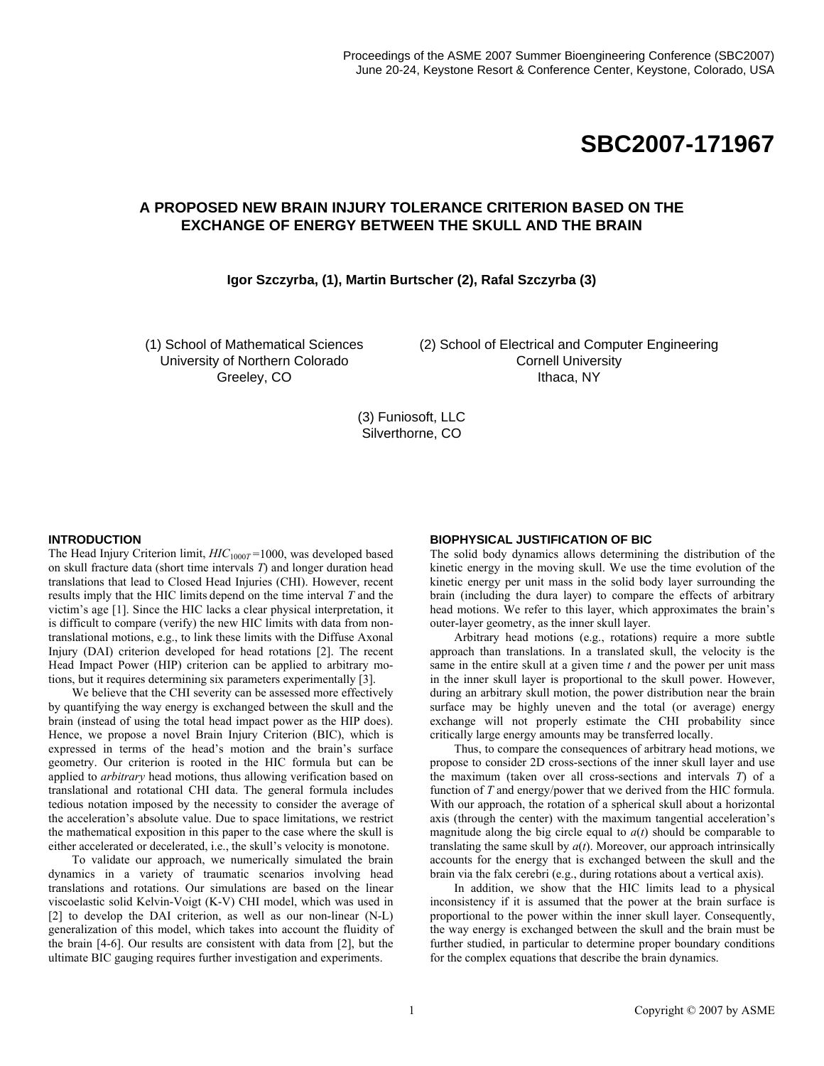# **SBC2007-171967**

# **A PROPOSED NEW BRAIN INJURY TOLERANCE CRITERION BASED ON THE EXCHANGE OF ENERGY BETWEEN THE SKULL AND THE BRAIN**

## **Igor Szczyrba, (1), Martin Burtscher (2), Rafal Szczyrba (3)**

(1) School of Mathematical Sciences University of Northern Colorado Greeley, CO

(2) School of Electrical and Computer Engineering Cornell University Ithaca, NY

(3) Funiosoft, LLC Silverthorne, CO

#### **INTRODUCTION**

The Head Injury Criterion limit,  $HIC<sub>1000T</sub> = 1000$ , was developed based on skull fracture data (short time intervals *T*) and longer duration head translations that lead to Closed Head Injuries (CHI). However, recent results imply that the HIC limits depend on the time interval *T* and the victim's age [1]. Since the HIC lacks a clear physical interpretation, it is difficult to compare (verify) the new HIC limits with data from nontranslational motions, e.g., to link these limits with the Diffuse Axonal Injury (DAI) criterion developed for head rotations [2]. The recent Head Impact Power (HIP) criterion can be applied to arbitrary motions, but it requires determining six parameters experimentally [3].

We believe that the CHI severity can be assessed more effectively by quantifying the way energy is exchanged between the skull and the brain (instead of using the total head impact power as the HIP does). Hence, we propose a novel Brain Injury Criterion (BIC), which is expressed in terms of the head's motion and the brain's surface geometry. Our criterion is rooted in the HIC formula but can be applied to *arbitrary* head motions, thus allowing verification based on translational and rotational CHI data. The general formula includes tedious notation imposed by the necessity to consider the average of the acceleration's absolute value. Due to space limitations, we restrict the mathematical exposition in this paper to the case where the skull is either accelerated or decelerated, i.e., the skull's velocity is monotone.

To validate our approach, we numerically simulated the brain dynamics in a variety of traumatic scenarios involving head translations and rotations. Our simulations are based on the linear viscoelastic solid Kelvin-Voigt (K-V) CHI model, which was used in [2] to develop the DAI criterion, as well as our non-linear (N-L) generalization of this model, which takes into account the fluidity of the brain [4-6]. Our results are consistent with data from [2], but the ultimate BIC gauging requires further investigation and experiments.

#### **BIOPHYSICAL JUSTIFICATION OF BIC**

The solid body dynamics allows determining the distribution of the kinetic energy in the moving skull. We use the time evolution of the kinetic energy per unit mass in the solid body layer surrounding the brain (including the dura layer) to compare the effects of arbitrary head motions. We refer to this layer, which approximates the brain's outer-layer geometry, as the inner skull layer.

Arbitrary head motions (e.g., rotations) require a more subtle approach than translations. In a translated skull, the velocity is the same in the entire skull at a given time *t* and the power per unit mass in the inner skull layer is proportional to the skull power. However, during an arbitrary skull motion, the power distribution near the brain surface may be highly uneven and the total (or average) energy exchange will not properly estimate the CHI probability since critically large energy amounts may be transferred locally.

Thus, to compare the consequences of arbitrary head motions, we propose to consider 2D cross-sections of the inner skull layer and use the maximum (taken over all cross-sections and intervals *T*) of a function of *T* and energy/power that we derived from the HIC formula. With our approach, the rotation of a spherical skull about a horizontal axis (through the center) with the maximum tangential acceleration's magnitude along the big circle equal to  $a(t)$  should be comparable to translating the same skull by  $a(t)$ . Moreover, our approach intrinsically accounts for the energy that is exchanged between the skull and the brain via the falx cerebri (e.g., during rotations about a vertical axis).

In addition, we show that the HIC limits lead to a physical inconsistency if it is assumed that the power at the brain surface is proportional to the power within the inner skull layer. Consequently, the way energy is exchanged between the skull and the brain must be further studied, in particular to determine proper boundary conditions for the complex equations that describe the brain dynamics.